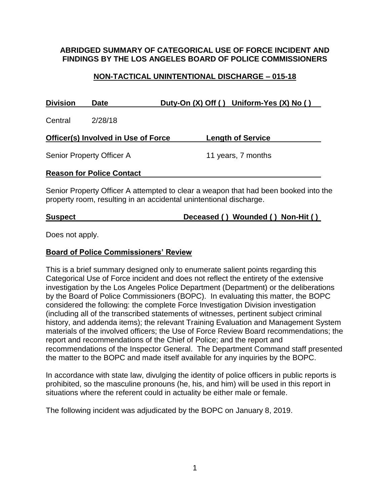#### **ABRIDGED SUMMARY OF CATEGORICAL USE OF FORCE INCIDENT AND FINDINGS BY THE LOS ANGELES BOARD OF POLICE COMMISSIONERS**

### **NON-TACTICAL UNINTENTIONAL DISCHARGE – 015-18**

| <b>Division</b>                     | <b>Date</b> |  | Duty-On (X) Off () Uniform-Yes (X) No () |
|-------------------------------------|-------------|--|------------------------------------------|
| Central                             | 2/28/18     |  |                                          |
| Officer(s) Involved in Use of Force |             |  | <b>Length of Service</b>                 |
| Senior Property Officer A           |             |  | 11 years, 7 months                       |
| <b>Reason for Police Contact</b>    |             |  |                                          |

Senior Property Officer A attempted to clear a weapon that had been booked into the property room, resulting in an accidental unintentional discharge.

### **Suspect Deceased ( ) Wounded ( ) Non-Hit ( )**

Does not apply.

#### **Board of Police Commissioners' Review**

This is a brief summary designed only to enumerate salient points regarding this Categorical Use of Force incident and does not reflect the entirety of the extensive investigation by the Los Angeles Police Department (Department) or the deliberations by the Board of Police Commissioners (BOPC). In evaluating this matter, the BOPC considered the following: the complete Force Investigation Division investigation (including all of the transcribed statements of witnesses, pertinent subject criminal history, and addenda items); the relevant Training Evaluation and Management System materials of the involved officers; the Use of Force Review Board recommendations; the report and recommendations of the Chief of Police; and the report and recommendations of the Inspector General. The Department Command staff presented the matter to the BOPC and made itself available for any inquiries by the BOPC.

In accordance with state law, divulging the identity of police officers in public reports is prohibited, so the masculine pronouns (he, his, and him) will be used in this report in situations where the referent could in actuality be either male or female.

The following incident was adjudicated by the BOPC on January 8, 2019.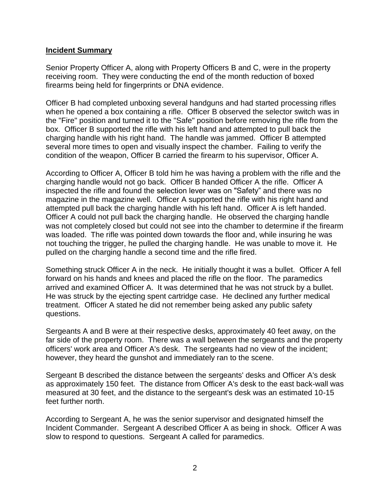#### **Incident Summary**

Senior Property Officer A, along with Property Officers B and C, were in the property receiving room. They were conducting the end of the month reduction of boxed firearms being held for fingerprints or DNA evidence.

Officer B had completed unboxing several handguns and had started processing rifles when he opened a box containing a rifle. Officer B observed the selector switch was in the "Fire" position and turned it to the "Safe" position before removing the rifle from the box. Officer B supported the rifle with his left hand and attempted to pull back the charging handle with his right hand. The handle was jammed. Officer B attempted several more times to open and visually inspect the chamber. Failing to verify the condition of the weapon, Officer B carried the firearm to his supervisor, Officer A.

According to Officer A, Officer B told him he was having a problem with the rifle and the charging handle would not go back. Officer B handed Officer A the rifle. Officer A inspected the rifle and found the selection lever was on "Safety" and there was no magazine in the magazine well. Officer A supported the rifle with his right hand and attempted pull back the charging handle with his left hand. Officer A is left handed. Officer A could not pull back the charging handle. He observed the charging handle was not completely closed but could not see into the chamber to determine if the firearm was loaded. The rifle was pointed down towards the floor and, while insuring he was not touching the trigger, he pulled the charging handle. He was unable to move it. He pulled on the charging handle a second time and the rifle fired.

Something struck Officer A in the neck. He initially thought it was a bullet. Officer A fell forward on his hands and knees and placed the rifle on the floor. The paramedics arrived and examined Officer A. It was determined that he was not struck by a bullet. He was struck by the ejecting spent cartridge case. He declined any further medical treatment. Officer A stated he did not remember being asked any public safety questions.

Sergeants A and B were at their respective desks, approximately 40 feet away, on the far side of the property room. There was a wall between the sergeants and the property officers' work area and Officer A's desk. The sergeants had no view of the incident; however, they heard the gunshot and immediately ran to the scene.

Sergeant B described the distance between the sergeants' desks and Officer A's desk as approximately 150 feet. The distance from Officer A's desk to the east back-wall was measured at 30 feet, and the distance to the sergeant's desk was an estimated 10-15 feet further north.

According to Sergeant A, he was the senior supervisor and designated himself the Incident Commander. Sergeant A described Officer A as being in shock. Officer A was slow to respond to questions. Sergeant A called for paramedics.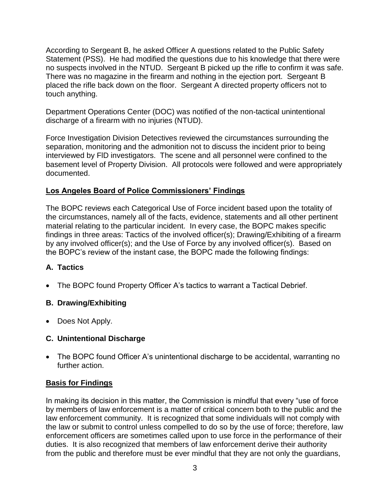According to Sergeant B, he asked Officer A questions related to the Public Safety Statement (PSS). He had modified the questions due to his knowledge that there were no suspects involved in the NTUD. Sergeant B picked up the rifle to confirm it was safe. There was no magazine in the firearm and nothing in the ejection port. Sergeant B placed the rifle back down on the floor. Sergeant A directed property officers not to touch anything.

Department Operations Center (DOC) was notified of the non-tactical unintentional discharge of a firearm with no injuries (NTUD).

Force Investigation Division Detectives reviewed the circumstances surrounding the separation, monitoring and the admonition not to discuss the incident prior to being interviewed by FlD investigators. The scene and all personnel were confined to the basement level of Property Division. All protocols were followed and were appropriately documented.

# **Los Angeles Board of Police Commissioners' Findings**

The BOPC reviews each Categorical Use of Force incident based upon the totality of the circumstances, namely all of the facts, evidence, statements and all other pertinent material relating to the particular incident. In every case, the BOPC makes specific findings in three areas: Tactics of the involved officer(s); Drawing/Exhibiting of a firearm by any involved officer(s); and the Use of Force by any involved officer(s). Based on the BOPC's review of the instant case, the BOPC made the following findings:

# **A. Tactics**

• The BOPC found Property Officer A's tactics to warrant a Tactical Debrief.

### **B. Drawing/Exhibiting**

• Does Not Apply.

### **C. Unintentional Discharge**

• The BOPC found Officer A's unintentional discharge to be accidental, warranting no further action.

# **Basis for Findings**

In making its decision in this matter, the Commission is mindful that every "use of force by members of law enforcement is a matter of critical concern both to the public and the law enforcement community. It is recognized that some individuals will not comply with the law or submit to control unless compelled to do so by the use of force; therefore, law enforcement officers are sometimes called upon to use force in the performance of their duties. It is also recognized that members of law enforcement derive their authority from the public and therefore must be ever mindful that they are not only the guardians,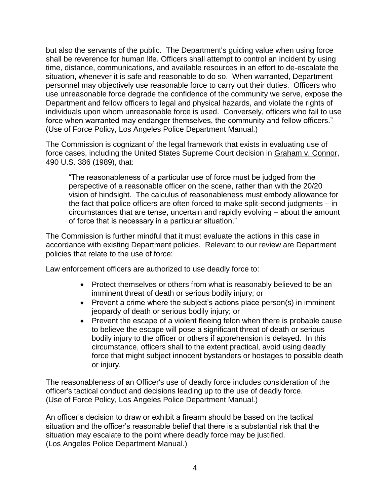but also the servants of the public. The Department's guiding value when using force shall be reverence for human life. Officers shall attempt to control an incident by using time, distance, communications, and available resources in an effort to de-escalate the situation, whenever it is safe and reasonable to do so. When warranted, Department personnel may objectively use reasonable force to carry out their duties. Officers who use unreasonable force degrade the confidence of the community we serve, expose the Department and fellow officers to legal and physical hazards, and violate the rights of individuals upon whom unreasonable force is used. Conversely, officers who fail to use force when warranted may endanger themselves, the community and fellow officers." (Use of Force Policy, Los Angeles Police Department Manual.)

The Commission is cognizant of the legal framework that exists in evaluating use of force cases, including the United States Supreme Court decision in Graham v. Connor, 490 U.S. 386 (1989), that:

"The reasonableness of a particular use of force must be judged from the perspective of a reasonable officer on the scene, rather than with the 20/20 vision of hindsight. The calculus of reasonableness must embody allowance for the fact that police officers are often forced to make split-second judgments – in circumstances that are tense, uncertain and rapidly evolving – about the amount of force that is necessary in a particular situation."

The Commission is further mindful that it must evaluate the actions in this case in accordance with existing Department policies. Relevant to our review are Department policies that relate to the use of force:

Law enforcement officers are authorized to use deadly force to:

- Protect themselves or others from what is reasonably believed to be an imminent threat of death or serious bodily injury; or
- Prevent a crime where the subject's actions place person(s) in imminent jeopardy of death or serious bodily injury; or
- Prevent the escape of a violent fleeing felon when there is probable cause to believe the escape will pose a significant threat of death or serious bodily injury to the officer or others if apprehension is delayed. In this circumstance, officers shall to the extent practical, avoid using deadly force that might subject innocent bystanders or hostages to possible death or injury.

The reasonableness of an Officer's use of deadly force includes consideration of the officer's tactical conduct and decisions leading up to the use of deadly force. (Use of Force Policy, Los Angeles Police Department Manual.)

An officer's decision to draw or exhibit a firearm should be based on the tactical situation and the officer's reasonable belief that there is a substantial risk that the situation may escalate to the point where deadly force may be justified. (Los Angeles Police Department Manual.)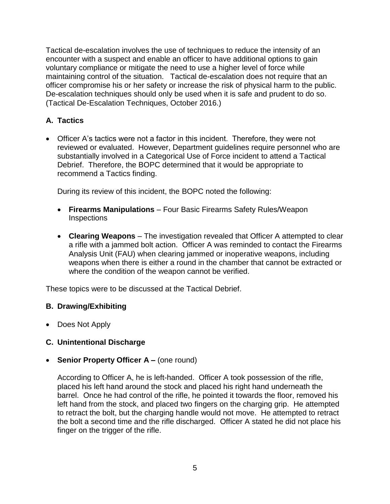Tactical de-escalation involves the use of techniques to reduce the intensity of an encounter with a suspect and enable an officer to have additional options to gain voluntary compliance or mitigate the need to use a higher level of force while maintaining control of the situation. Tactical de-escalation does not require that an officer compromise his or her safety or increase the risk of physical harm to the public. De-escalation techniques should only be used when it is safe and prudent to do so. (Tactical De-Escalation Techniques, October 2016.)

# **A. Tactics**

• Officer A's tactics were not a factor in this incident. Therefore, they were not reviewed or evaluated. However, Department guidelines require personnel who are substantially involved in a Categorical Use of Force incident to attend a Tactical Debrief. Therefore, the BOPC determined that it would be appropriate to recommend a Tactics finding.

During its review of this incident, the BOPC noted the following:

- **Firearms Manipulations** Four Basic Firearms Safety Rules/Weapon **Inspections**
- **Clearing Weapons** The investigation revealed that Officer A attempted to clear a rifle with a jammed bolt action. Officer A was reminded to contact the Firearms Analysis Unit (FAU) when clearing jammed or inoperative weapons, including weapons when there is either a round in the chamber that cannot be extracted or where the condition of the weapon cannot be verified.

These topics were to be discussed at the Tactical Debrief.

### **B. Drawing/Exhibiting**

• Does Not Apply

### **C. Unintentional Discharge**

• **Senior Property Officer A –** (one round)

According to Officer A, he is left-handed. Officer A took possession of the rifle, placed his left hand around the stock and placed his right hand underneath the barrel. Once he had control of the rifle, he pointed it towards the floor, removed his left hand from the stock, and placed two fingers on the charging grip. He attempted to retract the bolt, but the charging handle would not move. He attempted to retract the bolt a second time and the rifle discharged. Officer A stated he did not place his finger on the trigger of the rifle.